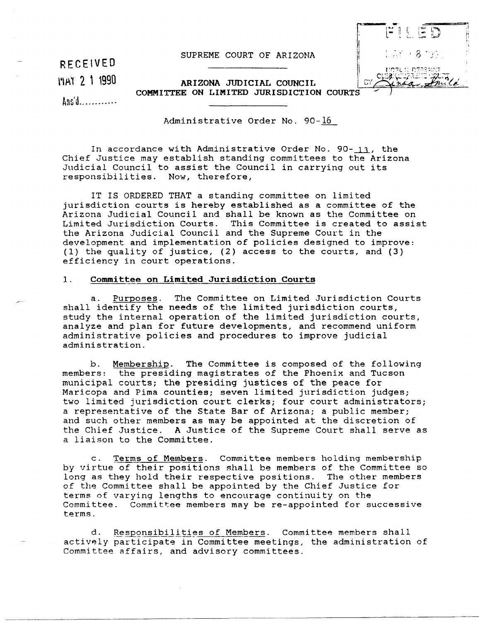SUPREME COURT OF ARIZONA

RECEIVED

~'1~1 2 , 1990

ARIZONA JUDICIAL COUNCIL COMMITTEE ON LIMITED JURISDICTION

~~n'd ........... .

Administrative Order No. 90-16

In accordance with Administrative Order No. 90- $\frac{13}{1}$ , the Chief Justice may establish standing committees to the Arizona Judicial Council to assist the Council in carrying out its responsibilities. Now, therefore,

IT IS ORDERED THAT a standing committee on limited jurisdiction courts is hereby established as a committee of the Arizona Judicial Council and shall be known as the Committee on Limited Jurisdiction Courts. This Committee is created to assist the Arizona Judicial Council and the Supreme Court in the development and implementation of policies designed to improve: (1) the quality of justice, (2) access to the courts, and (3) efficiency in court operations.

## 1. Committee on Limited Jurisdiction Courts

a. Purposes. The Committee on Limited Jurisdiction Courts shall identify the needs of the limited jurisdiction courts, study the internal operation of the limited jurisdiction courts, analyze and plan for future developments, and recommend uniform administrative policies and procedures to improve judicial administration.

b. <u>Membership</u>. The Committee is composed of the following<br>members: the presiding magistrates of the Phoenix and Tucson the presiding magistrates of the Phoenix and Tucson municipal courts; the presiding justices of the peace for Maricopa and Pima counties; seven limited jurisdiction judges; two limited jurisdiction court clerks; four court administrators; a representative of the State Bar of Arizona; a public member; and such other members as may be appointed at the discretion of the Chief Justice. A Justice of the Supreme Court shall serve as a liaison to the Committee.

c. Terms of Members. Committee members holding membership by virtue of their positions shall be members of the Committee so long as they hold their respective positions. The other members of the Committee shall be appointed by the Chief Justice for terms of varying lengths to encourage continuity on the Committee. Committee members may be re-appointed for successive terms.

d. Responsibilities of Members. Committee members shall actively participate in Committee meetings, the administration of Committee affairs, and advisory committees.